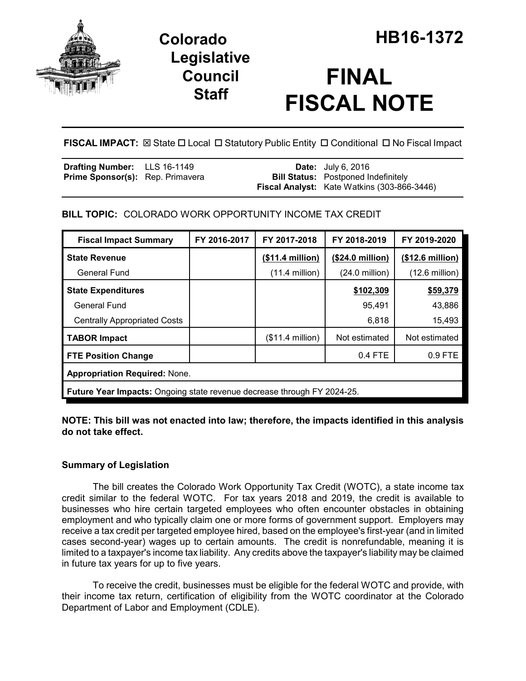

## **Legislative Council Staff**

# **FINAL FISCAL NOTE**

FISCAL IMPACT:  $\boxtimes$  State  $\Box$  Local  $\Box$  Statutory Public Entity  $\Box$  Conditional  $\Box$  No Fiscal Impact

| <b>Drafting Number:</b> LLS 16-1149     |  | <b>Date:</b> July 6, 2016                          |
|-----------------------------------------|--|----------------------------------------------------|
| <b>Prime Sponsor(s):</b> Rep. Primavera |  | <b>Bill Status:</b> Postponed Indefinitely         |
|                                         |  | <b>Fiscal Analyst:</b> Kate Watkins (303-866-3446) |

## **BILL TOPIC:** COLORADO WORK OPPORTUNITY INCOME TAX CREDIT

| <b>Fiscal Impact Summary</b>                                                   | FY 2016-2017 | FY 2017-2018      | FY 2018-2019             | FY 2019-2020             |  |
|--------------------------------------------------------------------------------|--------------|-------------------|--------------------------|--------------------------|--|
| <b>State Revenue</b>                                                           |              | (\$11.4 million)  | (\$24.0 million)         | (\$12.6 million)         |  |
| General Fund                                                                   |              | $(11.4$ million)  | $(24.0 \text{ million})$ | $(12.6 \text{ million})$ |  |
| <b>State Expenditures</b>                                                      |              |                   | \$102,309                | \$59,379                 |  |
| <b>General Fund</b>                                                            |              |                   | 95,491                   | 43,886                   |  |
| <b>Centrally Appropriated Costs</b>                                            |              |                   | 6,818                    | 15,493                   |  |
| <b>TABOR Impact</b>                                                            |              | $($11.4$ million) | Not estimated            | Not estimated            |  |
| <b>FTE Position Change</b>                                                     |              |                   | $0.4$ FTE                | $0.9$ FTE                |  |
| <b>Appropriation Required: None.</b>                                           |              |                   |                          |                          |  |
| <b>Future Year Impacts:</b> Ongoing state revenue decrease through FY 2024-25. |              |                   |                          |                          |  |

**NOTE: This bill was not enacted into law; therefore, the impacts identified in this analysis do not take effect.**

## **Summary of Legislation**

The bill creates the Colorado Work Opportunity Tax Credit (WOTC), a state income tax credit similar to the federal WOTC. For tax years 2018 and 2019, the credit is available to businesses who hire certain targeted employees who often encounter obstacles in obtaining employment and who typically claim one or more forms of government support. Employers may receive a tax credit per targeted employee hired, based on the employee's first-year (and in limited cases second-year) wages up to certain amounts. The credit is nonrefundable, meaning it is limited to a taxpayer's income tax liability. Any credits above the taxpayer's liability may be claimed in future tax years for up to five years.

To receive the credit, businesses must be eligible for the federal WOTC and provide, with their income tax return, certification of eligibility from the WOTC coordinator at the Colorado Department of Labor and Employment (CDLE).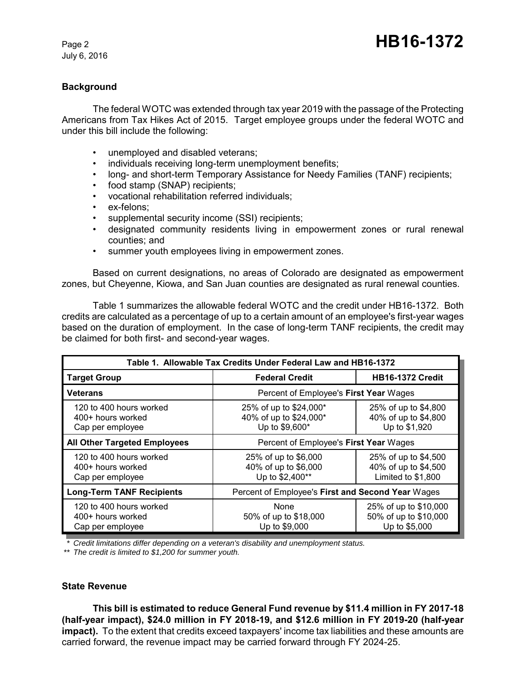July 6, 2016

### **Background**

The federal WOTC was extended through tax year 2019 with the passage of the Protecting Americans from Tax Hikes Act of 2015. Target employee groups under the federal WOTC and under this bill include the following:

- unemployed and disabled veterans;
- individuals receiving long-term unemployment benefits;
- long- and short-term Temporary Assistance for Needy Families (TANF) recipients;
- food stamp (SNAP) recipients;
- vocational rehabilitation referred individuals;
- ex-felons:
- supplemental security income (SSI) recipients;
- designated community residents living in empowerment zones or rural renewal counties; and
- summer youth employees living in empowerment zones.

Based on current designations, no areas of Colorado are designated as empowerment zones, but Cheyenne, Kiowa, and San Juan counties are designated as rural renewal counties.

Table 1 summarizes the allowable federal WOTC and the credit under HB16-1372. Both credits are calculated as a percentage of up to a certain amount of an employee's first-year wages based on the duration of employment. In the case of long-term TANF recipients, the credit may be claimed for both first- and second-year wages.

| Table 1. Allowable Tax Credits Under Federal Law and HB16-1372   |                                                                    |                                                                    |  |  |
|------------------------------------------------------------------|--------------------------------------------------------------------|--------------------------------------------------------------------|--|--|
| <b>Target Group</b>                                              | <b>Federal Credit</b>                                              | <b>HB16-1372 Credit</b>                                            |  |  |
| Veterans                                                         | Percent of Employee's First Year Wages                             |                                                                    |  |  |
| 120 to 400 hours worked<br>400+ hours worked<br>Cap per employee | 25% of up to \$24,000*<br>40% of up to \$24,000*<br>Up to \$9,600* | 25% of up to \$4,800<br>40% of up to \$4,800<br>Up to \$1,920      |  |  |
| <b>All Other Targeted Employees</b>                              | Percent of Employee's First Year Wages                             |                                                                    |  |  |
| 120 to 400 hours worked<br>400+ hours worked<br>Cap per employee | 25% of up to \$6,000<br>40% of up to \$6,000<br>Up to \$2,400**    | 25% of up to \$4,500<br>40% of up to \$4,500<br>Limited to \$1,800 |  |  |
| <b>Long-Term TANF Recipients</b>                                 | Percent of Employee's First and Second Year Wages                  |                                                                    |  |  |
| 120 to 400 hours worked<br>400+ hours worked<br>Cap per employee | None<br>50% of up to \$18,000<br>Up to \$9,000                     | 25% of up to \$10,000<br>50% of up to \$10,000<br>Up to \$5,000    |  |  |

*\* Credit limitations differ depending on a veteran's disability and unemployment status.*

*\*\* The credit is limited to \$1,200 for summer youth.*

#### **State Revenue**

**This bill is estimated to reduce General Fund revenue by \$11.4 million in FY 2017-18 (half-year impact), \$24.0 million in FY 2018-19, and \$12.6 million in FY 2019-20 (half-year impact).** To the extent that credits exceed taxpayers' income tax liabilities and these amounts are carried forward, the revenue impact may be carried forward through FY 2024-25.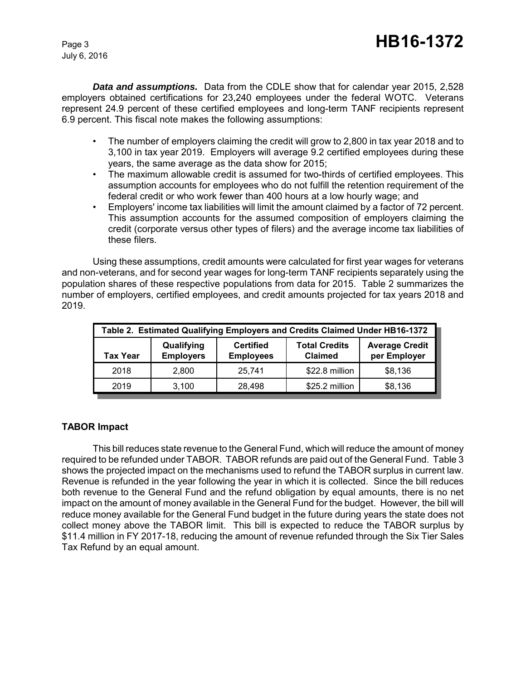July 6, 2016

*Data and assumptions.* Data from the CDLE show that for calendar year 2015, 2,528 employers obtained certifications for 23,240 employees under the federal WOTC. Veterans represent 24.9 percent of these certified employees and long-term TANF recipients represent 6.9 percent. This fiscal note makes the following assumptions:

- The number of employers claiming the credit will grow to 2,800 in tax year 2018 and to 3,100 in tax year 2019. Employers will average 9.2 certified employees during these years, the same average as the data show for 2015;
- The maximum allowable credit is assumed for two-thirds of certified employees. This assumption accounts for employees who do not fulfill the retention requirement of the federal credit or who work fewer than 400 hours at a low hourly wage; and
- Employers' income tax liabilities will limit the amount claimed by a factor of 72 percent. This assumption accounts for the assumed composition of employers claiming the credit (corporate versus other types of filers) and the average income tax liabilities of these filers.

Using these assumptions, credit amounts were calculated for first year wages for veterans and non-veterans, and for second year wages for long-term TANF recipients separately using the population shares of these respective populations from data for 2015. Table 2 summarizes the number of employers, certified employees, and credit amounts projected for tax years 2018 and 2019.

| Table 2. Estimated Qualifying Employers and Credits Claimed Under HB16-1372 |                                |                                      |                                        |                                       |
|-----------------------------------------------------------------------------|--------------------------------|--------------------------------------|----------------------------------------|---------------------------------------|
| Tax Year                                                                    | Qualifying<br><b>Employers</b> | <b>Certified</b><br><b>Employees</b> | <b>Total Credits</b><br><b>Claimed</b> | <b>Average Credit</b><br>per Employer |
| 2018                                                                        | 2.800                          | 25.741                               | \$22.8 million                         | \$8,136                               |
| 2019                                                                        | 3.100                          | 28.498                               | \$25.2 million                         | \$8,136                               |

#### **TABOR Impact**

This bill reduces state revenue to the General Fund, which will reduce the amount of money required to be refunded under TABOR. TABOR refunds are paid out of the General Fund. Table 3 shows the projected impact on the mechanisms used to refund the TABOR surplus in current law. Revenue is refunded in the year following the year in which it is collected. Since the bill reduces both revenue to the General Fund and the refund obligation by equal amounts, there is no net impact on the amount of money available in the General Fund for the budget. However, the bill will reduce money available for the General Fund budget in the future during years the state does not collect money above the TABOR limit. This bill is expected to reduce the TABOR surplus by \$11.4 million in FY 2017-18, reducing the amount of revenue refunded through the Six Tier Sales Tax Refund by an equal amount.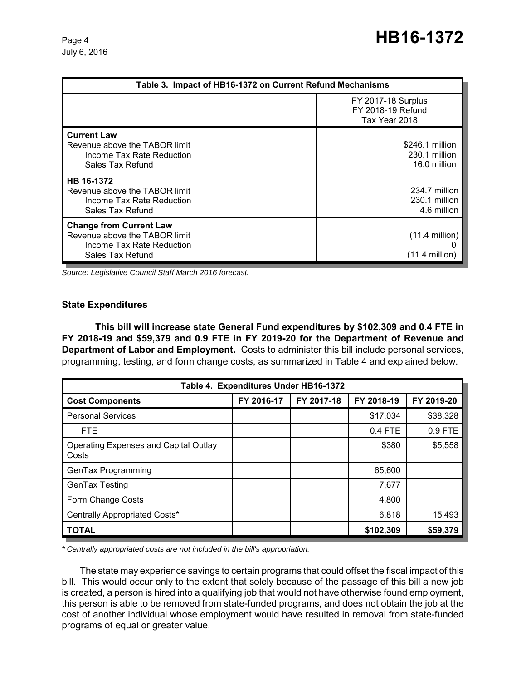| Table 3. Impact of HB16-1372 on Current Refund Mechanisms                                                        |                                                                 |  |  |
|------------------------------------------------------------------------------------------------------------------|-----------------------------------------------------------------|--|--|
|                                                                                                                  | <b>FY 2017-18 Surplus</b><br>FY 2018-19 Refund<br>Tax Year 2018 |  |  |
| <b>Current Law</b><br>Revenue above the TABOR limit<br>Income Tax Rate Reduction<br>Sales Tax Refund             | \$246.1 million<br>230.1 million<br>16.0 million                |  |  |
| HB 16-1372<br>Revenue above the TABOR limit<br>Income Tax Rate Reduction<br>Sales Tax Refund                     | 234.7 million<br>230.1 million<br>4.6 million                   |  |  |
| <b>Change from Current Law</b><br>Revenue above the TABOR limit<br>Income Tax Rate Reduction<br>Sales Tax Refund | $(11.4$ million)<br>$(11.4$ million)                            |  |  |

*Source: Legislative Council Staff March 2016 forecast.*

#### **State Expenditures**

**This bill will increase state General Fund expenditures by \$102,309 and 0.4 FTE in FY 2018-19 and \$59,379 and 0.9 FTE in FY 2019-20 for the Department of Revenue and Department of Labor and Employment.** Costs to administer this bill include personal services, programming, testing, and form change costs, as summarized in Table 4 and explained below.

| Table 4. Expenditures Under HB16-1372                 |            |            |            |            |  |
|-------------------------------------------------------|------------|------------|------------|------------|--|
| <b>Cost Components</b>                                | FY 2016-17 | FY 2017-18 | FY 2018-19 | FY 2019-20 |  |
| <b>Personal Services</b>                              |            |            | \$17,034   | \$38,328   |  |
| <b>FTE</b>                                            |            |            | 0.4 FTE    | 0.9 FTE    |  |
| <b>Operating Expenses and Capital Outlay</b><br>Costs |            |            | \$380      | \$5,558    |  |
| GenTax Programming                                    |            |            | 65,600     |            |  |
| GenTax Testing                                        |            |            | 7,677      |            |  |
| Form Change Costs                                     |            |            | 4,800      |            |  |
| Centrally Appropriated Costs*                         |            |            | 6,818      | 15,493     |  |
| <b>TOTAL</b>                                          |            |            | \$102,309  | \$59,379   |  |

*\* Centrally appropriated costs are not included in the bill's appropriation.*

The state may experience savings to certain programs that could offset the fiscal impact of this bill. This would occur only to the extent that solely because of the passage of this bill a new job is created, a person is hired into a qualifying job that would not have otherwise found employment, this person is able to be removed from state-funded programs, and does not obtain the job at the cost of another individual whose employment would have resulted in removal from state-funded programs of equal or greater value.